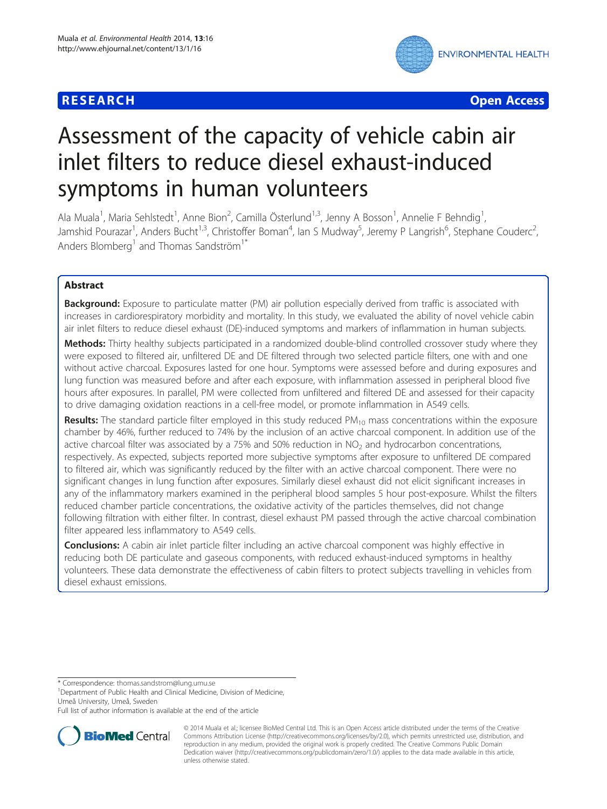

**RESEARCH CHE Open Access** 

# Assessment of the capacity of vehicle cabin air inlet filters to reduce diesel exhaust-induced symptoms in human volunteers

Ala Muala<sup>1</sup>, Maria Sehlstedt<sup>1</sup>, Anne Bion<sup>2</sup>, Camilla Österlund<sup>1,3</sup>, Jenny A Bosson<sup>1</sup>, Annelie F Behndig<sup>1</sup> , Jamshid Pourazar<sup>1</sup>, Anders Bucht<sup>1,3</sup>, Christoffer Boman<sup>4</sup>, Ian S Mudway<sup>5</sup>, Jeremy P Langrish<sup>6</sup>, Stephane Couderc<sup>2</sup> , Anders Blomberg<sup>1</sup> and Thomas Sandström<sup>1\*</sup>

# Abstract

**Background:** Exposure to particulate matter (PM) air pollution especially derived from traffic is associated with increases in cardiorespiratory morbidity and mortality. In this study, we evaluated the ability of novel vehicle cabin air inlet filters to reduce diesel exhaust (DE)-induced symptoms and markers of inflammation in human subjects.

Methods: Thirty healthy subjects participated in a randomized double-blind controlled crossover study where they were exposed to filtered air, unfiltered DE and DE filtered through two selected particle filters, one with and one without active charcoal. Exposures lasted for one hour. Symptoms were assessed before and during exposures and lung function was measured before and after each exposure, with inflammation assessed in peripheral blood five hours after exposures. In parallel, PM were collected from unfiltered and filtered DE and assessed for their capacity to drive damaging oxidation reactions in a cell-free model, or promote inflammation in A549 cells.

Results: The standard particle filter employed in this study reduced  $PM_{10}$  mass concentrations within the exposure chamber by 46%, further reduced to 74% by the inclusion of an active charcoal component. In addition use of the active charcoal filter was associated by a 75% and 50% reduction in  $NO<sub>2</sub>$  and hydrocarbon concentrations, respectively. As expected, subjects reported more subjective symptoms after exposure to unfiltered DE compared to filtered air, which was significantly reduced by the filter with an active charcoal component. There were no significant changes in lung function after exposures. Similarly diesel exhaust did not elicit significant increases in any of the inflammatory markers examined in the peripheral blood samples 5 hour post-exposure. Whilst the filters reduced chamber particle concentrations, the oxidative activity of the particles themselves, did not change following filtration with either filter. In contrast, diesel exhaust PM passed through the active charcoal combination filter appeared less inflammatory to A549 cells.

**Conclusions:** A cabin air inlet particle filter including an active charcoal component was highly effective in reducing both DE particulate and gaseous components, with reduced exhaust-induced symptoms in healthy volunteers. These data demonstrate the effectiveness of cabin filters to protect subjects travelling in vehicles from diesel exhaust emissions.

\* Correspondence: [thomas.sandstrom@lung.umu.se](mailto:thomas.sandstrom@lung.umu.se) <sup>1</sup>

<sup>1</sup>Department of Public Health and Clinical Medicine, Division of Medicine, Umeå University, Umeå, Sweden

Full list of author information is available at the end of the article



© 2014 Muala et al.; licensee BioMed Central Ltd. This is an Open Access article distributed under the terms of the Creative Commons Attribution License [\(http://creativecommons.org/licenses/by/2.0\)](http://creativecommons.org/licenses/by/2.0), which permits unrestricted use, distribution, and reproduction in any medium, provided the original work is properly credited. The Creative Commons Public Domain Dedication waiver [\(http://creativecommons.org/publicdomain/zero/1.0/](http://creativecommons.org/publicdomain/zero/1.0/)) applies to the data made available in this article, unless otherwise stated.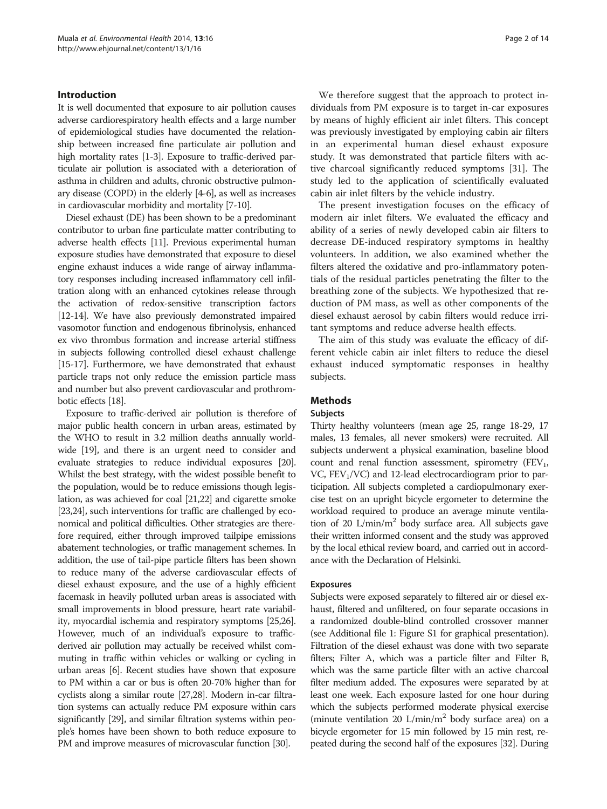# Introduction

It is well documented that exposure to air pollution causes adverse cardiorespiratory health effects and a large number of epidemiological studies have documented the relationship between increased fine particulate air pollution and high mortality rates [\[1](#page-11-0)-[3](#page-11-0)]. Exposure to traffic-derived particulate air pollution is associated with a deterioration of asthma in children and adults, chronic obstructive pulmonary disease (COPD) in the elderly [\[4-6](#page-11-0)], as well as increases in cardiovascular morbidity and mortality [[7](#page-12-0)-[10](#page-12-0)].

Diesel exhaust (DE) has been shown to be a predominant contributor to urban fine particulate matter contributing to adverse health effects [[11](#page-12-0)]. Previous experimental human exposure studies have demonstrated that exposure to diesel engine exhaust induces a wide range of airway inflammatory responses including increased inflammatory cell infiltration along with an enhanced cytokines release through the activation of redox-sensitive transcription factors [[12](#page-12-0)-[14\]](#page-12-0). We have also previously demonstrated impaired vasomotor function and endogenous fibrinolysis, enhanced ex vivo thrombus formation and increase arterial stiffness in subjects following controlled diesel exhaust challenge [[15](#page-12-0)-[17\]](#page-12-0). Furthermore, we have demonstrated that exhaust particle traps not only reduce the emission particle mass and number but also prevent cardiovascular and prothrombotic effects [\[18\]](#page-12-0).

Exposure to traffic-derived air pollution is therefore of major public health concern in urban areas, estimated by the WHO to result in 3.2 million deaths annually worldwide [[19](#page-12-0)], and there is an urgent need to consider and evaluate strategies to reduce individual exposures [\[20](#page-12-0)]. Whilst the best strategy, with the widest possible benefit to the population, would be to reduce emissions though legislation, as was achieved for coal [[21,22](#page-12-0)] and cigarette smoke [[23,24\]](#page-12-0), such interventions for traffic are challenged by economical and political difficulties. Other strategies are therefore required, either through improved tailpipe emissions abatement technologies, or traffic management schemes. In addition, the use of tail-pipe particle filters has been shown to reduce many of the adverse cardiovascular effects of diesel exhaust exposure, and the use of a highly efficient facemask in heavily polluted urban areas is associated with small improvements in blood pressure, heart rate variability, myocardial ischemia and respiratory symptoms [[25,26](#page-12-0)]. However, much of an individual's exposure to trafficderived air pollution may actually be received whilst commuting in traffic within vehicles or walking or cycling in urban areas [\[6\]](#page-11-0). Recent studies have shown that exposure to PM within a car or bus is often 20-70% higher than for cyclists along a similar route [[27,28\]](#page-12-0). Modern in-car filtration systems can actually reduce PM exposure within cars significantly [\[29\]](#page-12-0), and similar filtration systems within people's homes have been shown to both reduce exposure to PM and improve measures of microvascular function [[30\]](#page-12-0).

We therefore suggest that the approach to protect individuals from PM exposure is to target in-car exposures by means of highly efficient air inlet filters. This concept was previously investigated by employing cabin air filters in an experimental human diesel exhaust exposure study. It was demonstrated that particle filters with active charcoal significantly reduced symptoms [[31\]](#page-12-0). The study led to the application of scientifically evaluated cabin air inlet filters by the vehicle industry.

The present investigation focuses on the efficacy of modern air inlet filters. We evaluated the efficacy and ability of a series of newly developed cabin air filters to decrease DE-induced respiratory symptoms in healthy volunteers. In addition, we also examined whether the filters altered the oxidative and pro-inflammatory potentials of the residual particles penetrating the filter to the breathing zone of the subjects. We hypothesized that reduction of PM mass, as well as other components of the diesel exhaust aerosol by cabin filters would reduce irritant symptoms and reduce adverse health effects.

The aim of this study was evaluate the efficacy of different vehicle cabin air inlet filters to reduce the diesel exhaust induced symptomatic responses in healthy subjects.

# Methods

### Subjects

Thirty healthy volunteers (mean age 25, range 18-29, 17 males, 13 females, all never smokers) were recruited. All subjects underwent a physical examination, baseline blood count and renal function assessment, spirometry  $(FEV_1,$ VC,  $FEV<sub>1</sub>/VC$ ) and 12-lead electrocardiogram prior to participation. All subjects completed a cardiopulmonary exercise test on an upright bicycle ergometer to determine the workload required to produce an average minute ventilation of 20 L/min/m<sup>2</sup> body surface area. All subjects gave their written informed consent and the study was approved by the local ethical review board, and carried out in accordance with the Declaration of Helsinki.

#### Exposures

Subjects were exposed separately to filtered air or diesel exhaust, filtered and unfiltered, on four separate occasions in a randomized double-blind controlled crossover manner (see Additional file [1:](#page-11-0) Figure S1 for graphical presentation). Filtration of the diesel exhaust was done with two separate filters; Filter A, which was a particle filter and Filter B, which was the same particle filter with an active charcoal filter medium added. The exposures were separated by at least one week. Each exposure lasted for one hour during which the subjects performed moderate physical exercise (minute ventilation 20  $L/min/m^2$  body surface area) on a bicycle ergometer for 15 min followed by 15 min rest, repeated during the second half of the exposures [[32\]](#page-12-0). During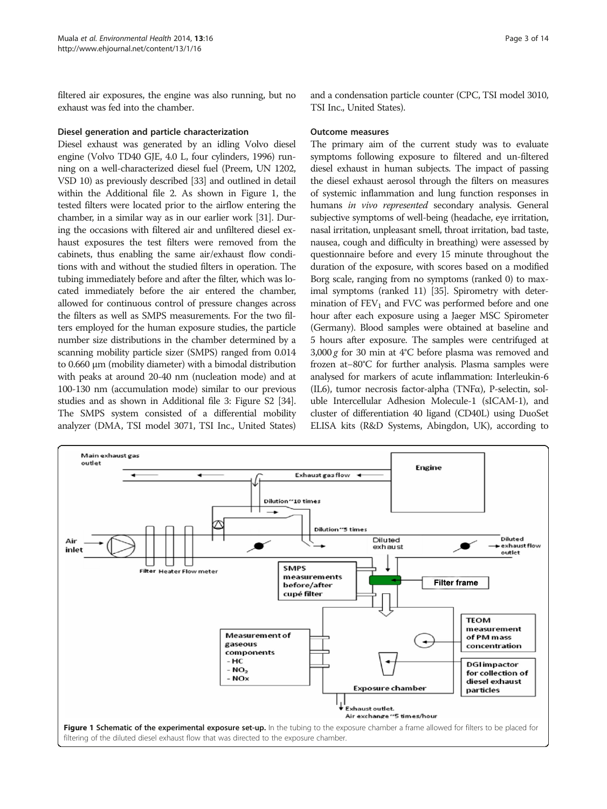filtered air exposures, the engine was also running, but no exhaust was fed into the chamber.

### Diesel generation and particle characterization

Diesel exhaust was generated by an idling Volvo diesel engine (Volvo TD40 GJE, 4.0 L, four cylinders, 1996) running on a well-characterized diesel fuel (Preem, UN 1202, VSD 10) as previously described [\[33\]](#page-12-0) and outlined in detail within the Additional file [2](#page-11-0). As shown in Figure 1, the tested filters were located prior to the airflow entering the chamber, in a similar way as in our earlier work [\[31](#page-12-0)]. During the occasions with filtered air and unfiltered diesel exhaust exposures the test filters were removed from the cabinets, thus enabling the same air/exhaust flow conditions with and without the studied filters in operation. The tubing immediately before and after the filter, which was located immediately before the air entered the chamber, allowed for continuous control of pressure changes across the filters as well as SMPS measurements. For the two filters employed for the human exposure studies, the particle number size distributions in the chamber determined by a scanning mobility particle sizer (SMPS) ranged from 0.014 to 0.660 μm (mobility diameter) with a bimodal distribution with peaks at around 20-40 nm (nucleation mode) and at 100-130 nm (accumulation mode) similar to our previous studies and as shown in Additional file [3:](#page-11-0) Figure S2 [\[34](#page-12-0)]. The SMPS system consisted of a differential mobility analyzer (DMA, TSI model 3071, TSI Inc., United States)

and a condensation particle counter (CPC, TSI model 3010, TSI Inc., United States).

### Outcome measures

The primary aim of the current study was to evaluate symptoms following exposure to filtered and un-filtered diesel exhaust in human subjects. The impact of passing the diesel exhaust aerosol through the filters on measures of systemic inflammation and lung function responses in humans in vivo represented secondary analysis. General subjective symptoms of well-being (headache, eye irritation, nasal irritation, unpleasant smell, throat irritation, bad taste, nausea, cough and difficulty in breathing) were assessed by questionnaire before and every 15 minute throughout the duration of the exposure, with scores based on a modified Borg scale, ranging from no symptoms (ranked 0) to maximal symptoms (ranked 11) [\[35\]](#page-12-0). Spirometry with determination of  $FEV<sub>1</sub>$  and FVC was performed before and one hour after each exposure using a Jaeger MSC Spirometer (Germany). Blood samples were obtained at baseline and 5 hours after exposure. The samples were centrifuged at 3,000 g for 30 min at 4°C before plasma was removed and frozen at−80°C for further analysis. Plasma samples were analysed for markers of acute inflammation: Interleukin-6 (IL6), tumor necrosis factor-alpha (TNFα), P-selectin, soluble Intercellular Adhesion Molecule-1 (sICAM-1), and cluster of differentiation 40 ligand (CD40L) using DuoSet ELISA kits (R&D Systems, Abingdon, UK), according to

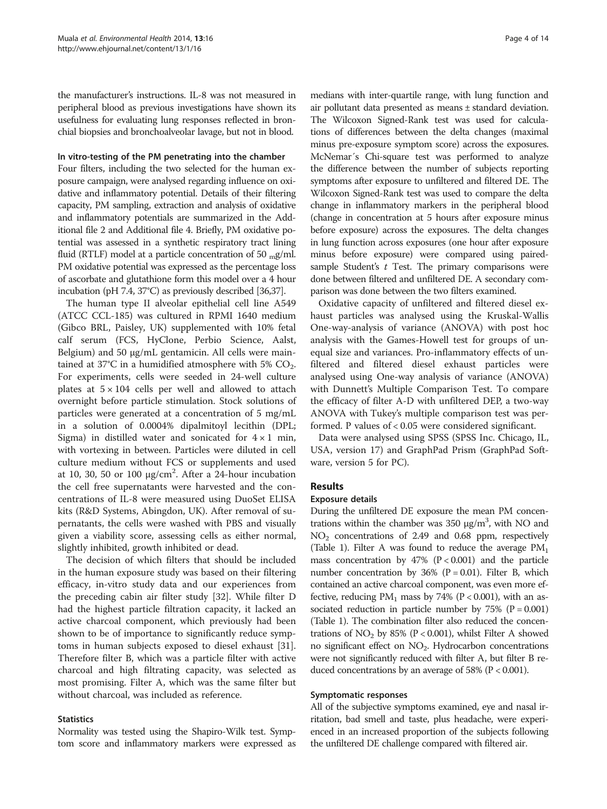the manufacturer's instructions. IL-8 was not measured in peripheral blood as previous investigations have shown its usefulness for evaluating lung responses reflected in bronchial biopsies and bronchoalveolar lavage, but not in blood.

#### In vitro-testing of the PM penetrating into the chamber

Four filters, including the two selected for the human exposure campaign, were analysed regarding influence on oxidative and inflammatory potential. Details of their filtering capacity, PM sampling, extraction and analysis of oxidative and inflammatory potentials are summarized in the Additional file [2](#page-11-0) and Additional file [4](#page-11-0). Briefly, PM oxidative potential was assessed in a synthetic respiratory tract lining fluid (RTLF) model at a particle concentration of 50  $mg/ml$ . PM oxidative potential was expressed as the percentage loss of ascorbate and glutathione form this model over a 4 hour incubation (pH 7.4, 37°C) as previously described [[36,37\]](#page-12-0).

The human type II alveolar epithelial cell line A549 (ATCC CCL-185) was cultured in RPMI 1640 medium (Gibco BRL, Paisley, UK) supplemented with 10% fetal calf serum (FCS, HyClone, Perbio Science, Aalst, Belgium) and 50 μg/mL gentamicin. All cells were maintained at 37°C in a humidified atmosphere with 5%  $CO<sub>2</sub>$ . For experiments, cells were seeded in 24-well culture plates at  $5 \times 104$  cells per well and allowed to attach overnight before particle stimulation. Stock solutions of particles were generated at a concentration of 5 mg/mL in a solution of 0.0004% dipalmitoyl lecithin (DPL; Sigma) in distilled water and sonicated for  $4 \times 1$  min, with vortexing in between. Particles were diluted in cell culture medium without FCS or supplements and used at 10, 30, 50 or 100  $\mu$ g/cm<sup>2</sup>. After a 24-hour incubation the cell free supernatants were harvested and the concentrations of IL-8 were measured using DuoSet ELISA kits (R&D Systems, Abingdon, UK). After removal of supernatants, the cells were washed with PBS and visually given a viability score, assessing cells as either normal, slightly inhibited, growth inhibited or dead.

The decision of which filters that should be included in the human exposure study was based on their filtering efficacy, in-vitro study data and our experiences from the preceding cabin air filter study [[32](#page-12-0)]. While filter D had the highest particle filtration capacity, it lacked an active charcoal component, which previously had been shown to be of importance to significantly reduce symptoms in human subjects exposed to diesel exhaust [\[31](#page-12-0)]. Therefore filter B, which was a particle filter with active charcoal and high filtrating capacity, was selected as most promising. Filter A, which was the same filter but without charcoal, was included as reference.

#### **Statistics**

Normality was tested using the Shapiro-Wilk test. Symptom score and inflammatory markers were expressed as

medians with inter-quartile range, with lung function and air pollutant data presented as means ± standard deviation. The Wilcoxon Signed-Rank test was used for calculations of differences between the delta changes (maximal minus pre-exposure symptom score) across the exposures. McNemar´s Chi-square test was performed to analyze the difference between the number of subjects reporting symptoms after exposure to unfiltered and filtered DE. The Wilcoxon Signed-Rank test was used to compare the delta change in inflammatory markers in the peripheral blood (change in concentration at 5 hours after exposure minus before exposure) across the exposures. The delta changes in lung function across exposures (one hour after exposure minus before exposure) were compared using pairedsample Student's  $t$  Test. The primary comparisons were done between filtered and unfiltered DE. A secondary comparison was done between the two filters examined.

Oxidative capacity of unfiltered and filtered diesel exhaust particles was analysed using the Kruskal-Wallis One-way-analysis of variance (ANOVA) with post hoc analysis with the Games-Howell test for groups of unequal size and variances. Pro-inflammatory effects of unfiltered and filtered diesel exhaust particles were analysed using One-way analysis of variance (ANOVA) with Dunnett's Multiple Comparison Test. To compare the efficacy of filter A-D with unfiltered DEP, a two-way ANOVA with Tukey's multiple comparison test was performed. P values of < 0.05 were considered significant.

Data were analysed using SPSS (SPSS Inc. Chicago, IL, USA, version 17) and GraphPad Prism (GraphPad Software, version 5 for PC).

# **Results**

#### Exposure details

During the unfiltered DE exposure the mean PM concentrations within the chamber was  $350 \mu g/m^3$ , with NO and  $NO<sub>2</sub>$  concentrations of 2.49 and 0.68 ppm, respectively (Table [1\)](#page-4-0). Filter A was found to reduce the average  $PM<sub>1</sub>$ mass concentration by  $47\%$  ( $P < 0.001$ ) and the particle number concentration by  $36\%$  (P = 0.01). Filter B, which contained an active charcoal component, was even more effective, reducing  $PM_1$  mass by 74% (P < 0.001), with an associated reduction in particle number by  $75\%$  (P = 0.001) (Table [1\)](#page-4-0). The combination filter also reduced the concentrations of  $NO<sub>2</sub>$  by 85% (P < 0.001), whilst Filter A showed no significant effect on  $NO<sub>2</sub>$ . Hydrocarbon concentrations were not significantly reduced with filter A, but filter B reduced concentrations by an average of 58% ( $P < 0.001$ ).

#### Symptomatic responses

All of the subjective symptoms examined, eye and nasal irritation, bad smell and taste, plus headache, were experienced in an increased proportion of the subjects following the unfiltered DE challenge compared with filtered air.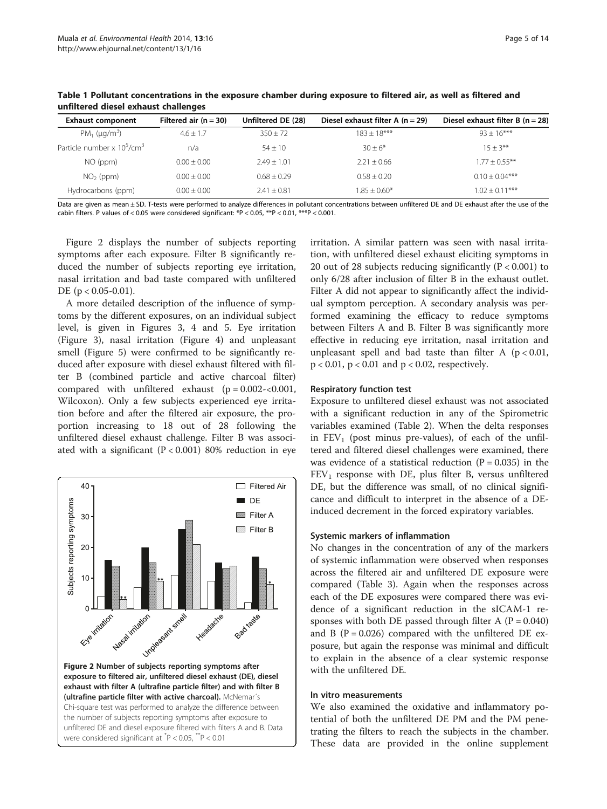| <b>Exhaust component</b>                       | Filtered air $(n = 30)$ | Unfiltered DE (28) | Diesel exhaust filter A $(n = 29)$ | Diesel exhaust filter B $(n = 28)$ |
|------------------------------------------------|-------------------------|--------------------|------------------------------------|------------------------------------|
| $PM_1$ (µg/m <sup>3</sup> )                    | $4.6 \pm 1.7$           | $350 + 72$         | $183 + 18***$                      | $93 + 16***$                       |
| Particle number $\times 10^5$ /cm <sup>3</sup> | n/a                     | $54 + 10$          | $30 + 6*$                          | $15 + 3**$                         |
| NO (ppm)                                       | $0.00 + 0.00$           | $7.49 + 1.01$      | $2.21 \pm 0.66$                    | $1.77 + 0.55***$                   |
| $NO2$ (ppm)                                    | $0.00 + 0.00$           | $0.68 + 0.29$      | $0.58 + 0.20$                      | $0.10 + 0.04***$                   |
| Hydrocarbons (ppm)                             | $0.00 + 0.00$           | $2.41 + 0.81$      | $1.85 + 0.60*$                     | $1.02 + 0.11***$                   |

<span id="page-4-0"></span>Table 1 Pollutant concentrations in the exposure chamber during exposure to filtered air, as well as filtered and unfiltered diesel exhaust challenges

Data are given as mean ± SD. T-tests were performed to analyze differences in pollutant concentrations between unfiltered DE and DE exhaust after the use of the cabin filters. P values of < 0.05 were considered significant: \*P < 0.05, \*\*P < 0.01, \*\*\*P < 0.001.

Figure 2 displays the number of subjects reporting symptoms after each exposure. Filter B significantly reduced the number of subjects reporting eye irritation, nasal irritation and bad taste compared with unfiltered DE (p < 0.05-0.01).

A more detailed description of the influence of symptoms by the different exposures, on an individual subject level, is given in Figures [3](#page-5-0), [4](#page-6-0) and [5](#page-7-0). Eye irritation (Figure [3](#page-5-0)), nasal irritation (Figure [4](#page-6-0)) and unpleasant smell (Figure [5\)](#page-7-0) were confirmed to be significantly reduced after exposure with diesel exhaust filtered with filter B (combined particle and active charcoal filter) compared with unfiltered exhaust  $(p = 0.002 - 0.001,$ Wilcoxon). Only a few subjects experienced eye irritation before and after the filtered air exposure, the proportion increasing to 18 out of 28 following the unfiltered diesel exhaust challenge. Filter B was associated with a significant ( $P < 0.001$ ) 80% reduction in eye



irritation. A similar pattern was seen with nasal irritation, with unfiltered diesel exhaust eliciting symptoms in 20 out of 28 subjects reducing significantly  $(P < 0.001)$  to only 6/28 after inclusion of filter B in the exhaust outlet. Filter A did not appear to significantly affect the individual symptom perception. A secondary analysis was performed examining the efficacy to reduce symptoms between Filters A and B. Filter B was significantly more effective in reducing eye irritation, nasal irritation and unpleasant spell and bad taste than filter A  $(p < 0.01$ ,  $p < 0.01$ ,  $p < 0.01$  and  $p < 0.02$ , respectively.

# Respiratory function test

Exposure to unfiltered diesel exhaust was not associated with a significant reduction in any of the Spirometric variables examined (Table [2\)](#page-8-0). When the delta responses in  $FEV<sub>1</sub>$  (post minus pre-values), of each of the unfiltered and filtered diesel challenges were examined, there was evidence of a statistical reduction ( $P = 0.035$ ) in the  $FEV<sub>1</sub>$  response with DE, plus filter B, versus unfiltered DE, but the difference was small, of no clinical significance and difficult to interpret in the absence of a DEinduced decrement in the forced expiratory variables.

# Systemic markers of inflammation

No changes in the concentration of any of the markers of systemic inflammation were observed when responses across the filtered air and unfiltered DE exposure were compared (Table [3](#page-9-0)). Again when the responses across each of the DE exposures were compared there was evidence of a significant reduction in the sICAM-1 responses with both DE passed through filter A ( $P = 0.040$ ) and B ( $P = 0.026$ ) compared with the unfiltered DE exposure, but again the response was minimal and difficult to explain in the absence of a clear systemic response with the unfiltered DE.

#### In vitro measurements

We also examined the oxidative and inflammatory potential of both the unfiltered DE PM and the PM penetrating the filters to reach the subjects in the chamber. These data are provided in the online supplement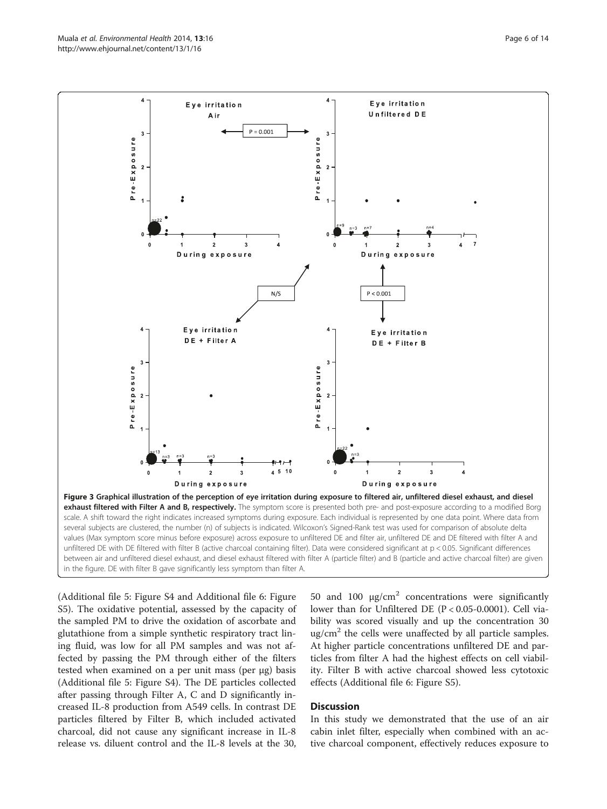<span id="page-5-0"></span>

(Additional file [5:](#page-11-0) Figure S4 and Additional file [6](#page-11-0): Figure S5). The oxidative potential, assessed by the capacity of the sampled PM to drive the oxidation of ascorbate and glutathione from a simple synthetic respiratory tract lining fluid, was low for all PM samples and was not affected by passing the PM through either of the filters tested when examined on a per unit mass (per μg) basis (Additional file [5](#page-11-0): Figure S4). The DE particles collected after passing through Filter A, C and D significantly increased IL-8 production from A549 cells. In contrast DE particles filtered by Filter B, which included activated charcoal, did not cause any significant increase in IL-8 release vs. diluent control and the IL-8 levels at the 30,

50 and 100  $\mu$ g/cm<sup>2</sup> concentrations were significantly lower than for Unfiltered DE (P < 0.05-0.0001). Cell viability was scored visually and up the concentration 30  $\mu$ g/cm<sup>2</sup> the cells were unaffected by all particle samples. At higher particle concentrations unfiltered DE and particles from filter A had the highest effects on cell viability. Filter B with active charcoal showed less cytotoxic effects (Additional file [6](#page-11-0): Figure S5).

# **Discussion**

In this study we demonstrated that the use of an air cabin inlet filter, especially when combined with an active charcoal component, effectively reduces exposure to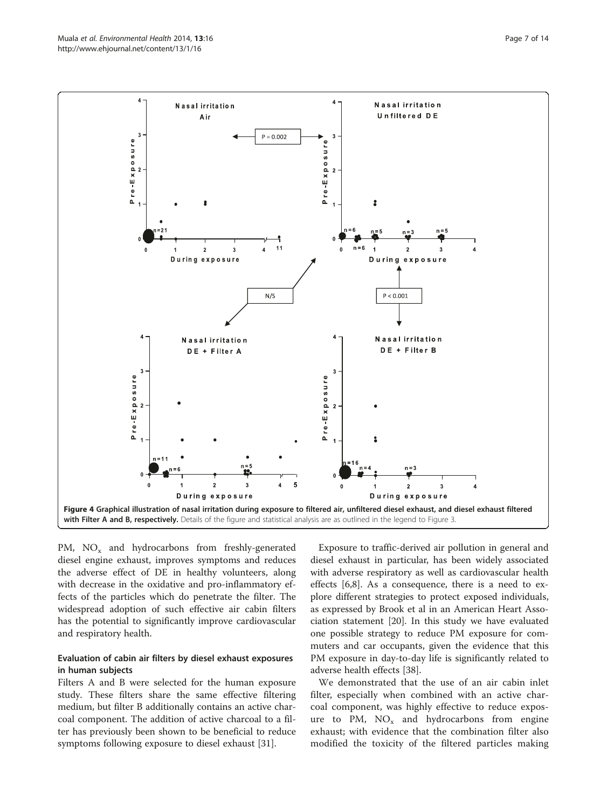<span id="page-6-0"></span>

PM,  $NO<sub>x</sub>$  and hydrocarbons from freshly-generated diesel engine exhaust, improves symptoms and reduces the adverse effect of DE in healthy volunteers, along with decrease in the oxidative and pro-inflammatory effects of the particles which do penetrate the filter. The widespread adoption of such effective air cabin filters has the potential to significantly improve cardiovascular and respiratory health.

# Evaluation of cabin air filters by diesel exhaust exposures in human subjects

Filters A and B were selected for the human exposure study. These filters share the same effective filtering medium, but filter B additionally contains an active charcoal component. The addition of active charcoal to a filter has previously been shown to be beneficial to reduce symptoms following exposure to diesel exhaust [\[31\]](#page-12-0).

Exposure to traffic-derived air pollution in general and diesel exhaust in particular, has been widely associated with adverse respiratory as well as cardiovascular health effects [[6](#page-11-0),[8](#page-12-0)]. As a consequence, there is a need to explore different strategies to protect exposed individuals, as expressed by Brook et al in an American Heart Association statement [\[20\]](#page-12-0). In this study we have evaluated one possible strategy to reduce PM exposure for commuters and car occupants, given the evidence that this PM exposure in day-to-day life is significantly related to adverse health effects [\[38](#page-12-0)].

We demonstrated that the use of an air cabin inlet filter, especially when combined with an active charcoal component, was highly effective to reduce exposure to PM,  $NO_x$  and hydrocarbons from engine exhaust; with evidence that the combination filter also modified the toxicity of the filtered particles making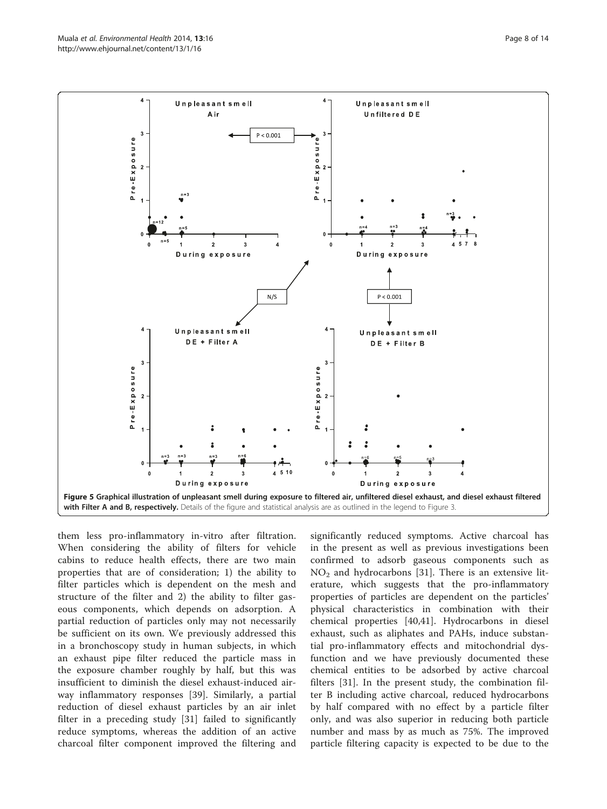<span id="page-7-0"></span>

them less pro-inflammatory in-vitro after filtration. When considering the ability of filters for vehicle cabins to reduce health effects, there are two main properties that are of consideration; 1) the ability to filter particles which is dependent on the mesh and structure of the filter and 2) the ability to filter gaseous components, which depends on adsorption. A partial reduction of particles only may not necessarily be sufficient on its own. We previously addressed this in a bronchoscopy study in human subjects, in which an exhaust pipe filter reduced the particle mass in the exposure chamber roughly by half, but this was insufficient to diminish the diesel exhaust-induced airway inflammatory responses [[39\]](#page-12-0). Similarly, a partial reduction of diesel exhaust particles by an air inlet filter in a preceding study [\[31](#page-12-0)] failed to significantly reduce symptoms, whereas the addition of an active charcoal filter component improved the filtering and

significantly reduced symptoms. Active charcoal has in the present as well as previous investigations been confirmed to adsorb gaseous components such as  $NO<sub>2</sub>$  and hydrocarbons [\[31](#page-12-0)]. There is an extensive literature, which suggests that the pro-inflammatory properties of particles are dependent on the particles' physical characteristics in combination with their chemical properties [\[40](#page-12-0),[41\]](#page-12-0). Hydrocarbons in diesel exhaust, such as aliphates and PAHs, induce substantial pro-inflammatory effects and mitochondrial dysfunction and we have previously documented these chemical entities to be adsorbed by active charcoal filters [\[31](#page-12-0)]. In the present study, the combination filter B including active charcoal, reduced hydrocarbons by half compared with no effect by a particle filter only, and was also superior in reducing both particle number and mass by as much as 75%. The improved particle filtering capacity is expected to be due to the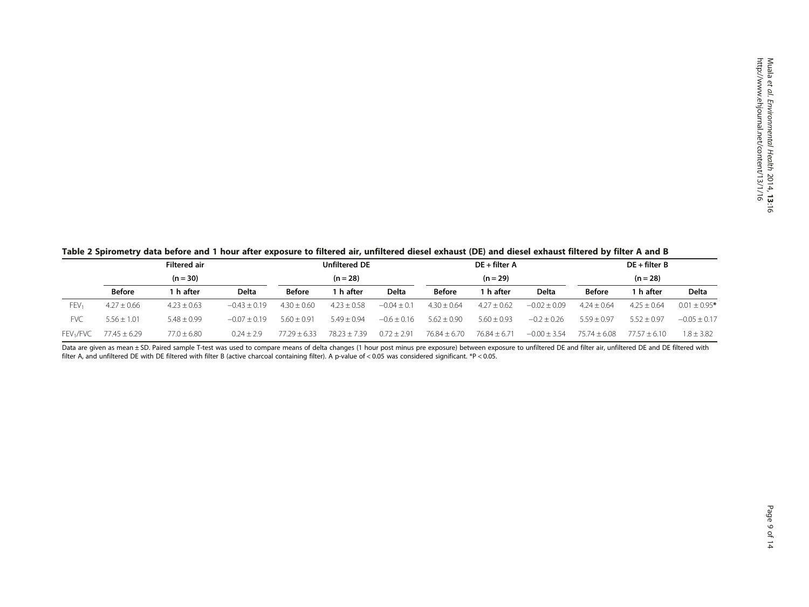<span id="page-8-0"></span>Table 2 Spirometry data before and 1 hour after exposure to filtered air, unfiltered diesel exhaust (DE) and diesel exhaust filtered by filter A and B

|                       | <b>Filtered air</b> |                 |                | <b>Unfiltered DE</b> |                  |                 | $DE + filter A$  |                  |                  | $DE + filter B$  |                  |                   |
|-----------------------|---------------------|-----------------|----------------|----------------------|------------------|-----------------|------------------|------------------|------------------|------------------|------------------|-------------------|
| $(n = 30)$            |                     |                 | $(n = 28)$     |                      |                  | $(n = 29)$      |                  |                  | $(n = 28)$       |                  |                  |                   |
|                       | <b>Before</b>       | h after         | Delta          | <b>Before</b>        | 1 h after        | Delta           | <b>Before</b>    | 1 h after        | <b>Delta</b>     | <b>Before</b>    | ∣h after         | Delta             |
| FEV                   | $4.27 \pm 0.66$     | $4.23 \pm 0.63$ | $-0.43 + 0.19$ | $4.30 + 0.60$        | $4.23 \pm 0.58$  | $-0.04 \pm 0.1$ | $4.30 + 0.64$    | $4.27 \pm 0.62$  | $-0.02 \pm 0.09$ | $4.24 + 0.64$    | $4.25 \pm 0.64$  | $0.01 \pm 0.95$ * |
| <b>FVC</b>            | $5.56 \pm 1.01$     | $5.48 \pm 0.99$ | $-0.07 + 0.19$ | $5.60 \pm 0.91$      | $5.49 \pm 0.94$  | $-0.6 \pm 0.16$ | $5.62 \pm 0.90$  | $5.60 \pm 0.93$  | $-0.2 \pm 0.26$  | $5.59 \pm 0.97$  | $5.52 \pm 0.97$  | $-0.05 \pm 0.17$  |
| FEV <sub>1</sub> /FVC | $77.45 \pm 6.29$    | $77.0 \pm 6.80$ | $0.24 \pm 2.9$ | $77.29 \pm 6.33$     | $78.23 \pm 7.39$ | $0.72 \pm 2.91$ | $76.84 \pm 6.70$ | $76.84 \pm 6.71$ | $-0.00 \pm 3.54$ | $75.74 \pm 6.08$ | $77.57 \pm 6.10$ | $1.8 \pm 3.82$    |

Data are given as mean ± SD. Paired sample T-test was used to compare means of delta changes (1 hour post minus pre exposure) between exposure to unfiltered DE and filter air, unfiltered DE and DE filtered with filter A, and unfiltered DE with DE filtered with filter B (active charcoal containing filter). A p-value of < 0.05 was considered significant. \*P < 0.05.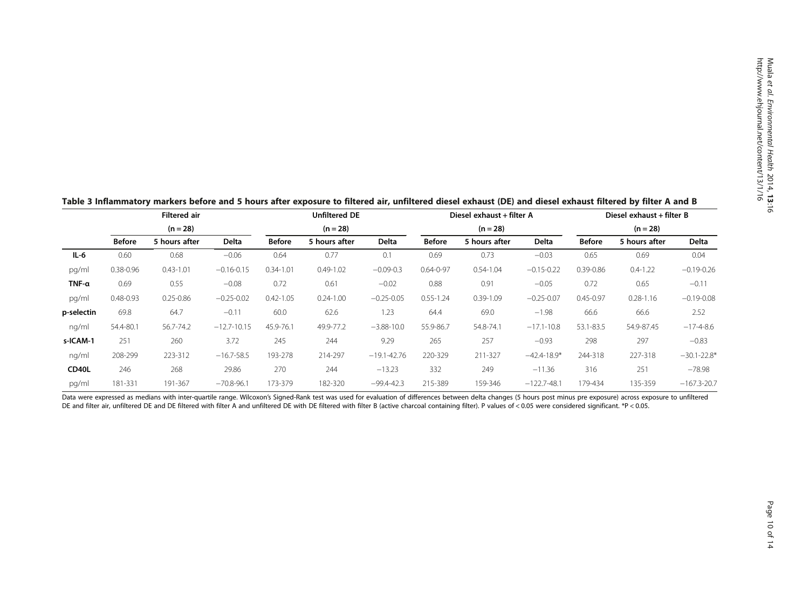|               | <b>Filtered air</b><br>$(n = 28)$ |               |                 | <b>Unfiltered DE</b><br>$(n = 28)$ |               |                 | Diesel exhaust + filter A<br>$(n = 28)$ |               |                 | Diesel exhaust + filter B<br>$(n = 28)$ |               |                 |
|---------------|-----------------------------------|---------------|-----------------|------------------------------------|---------------|-----------------|-----------------------------------------|---------------|-----------------|-----------------------------------------|---------------|-----------------|
|               |                                   |               |                 |                                    |               |                 |                                         |               |                 |                                         |               |                 |
|               | <b>Before</b>                     | 5 hours after | Delta           | <b>Before</b>                      | 5 hours after | <b>Delta</b>    | <b>Before</b>                           | 5 hours after | Delta           | <b>Before</b>                           | 5 hours after | <b>Delta</b>    |
| IL-6          | 0.60                              | 0.68          | $-0.06$         | 0.64                               | 0.77          | 0.1             | 0.69                                    | 0.73          | $-0.03$         | 0.65                                    | 0.69          | 0.04            |
| pg/ml         | 0.38-0.96                         | $0.43 - 1.01$ | $-0.16 - 0.15$  | $0.34 - 1.01$                      | $0.49 - 1.02$ | $-0.09 - 0.3$   | $0.64 - 0 - 97$                         | $0.54 - 1.04$ | $-0.15 - 0.22$  | $0.39 - 0.86$                           | $0.4 - 1.22$  | $-0.19 - 0.26$  |
| TNF- $\alpha$ | 0.69                              | 0.55          | $-0.08$         | 0.72                               | 0.61          | $-0.02$         | 0.88                                    | 0.91          | $-0.05$         | 0.72                                    | 0.65          | $-0.11$         |
| pg/ml         | $0.48 - 0.93$                     | $0.25 - 0.86$ | $-0.25 - 0.02$  | $0.42 - 1.05$                      | $0.24 - 1.00$ | $-0.25 - 0.05$  | $0.55 - 1.24$                           | $0.39 - 1.09$ | $-0.25 - 0.07$  | $0.45 - 0.97$                           | $0.28 - 1.16$ | $-0.19 - 0.08$  |
| p-selectin    | 69.8                              | 64.7          | $-0.11$         | 60.0                               | 62.6          | 1.23            | 64.4                                    | 69.0          | $-1.98$         | 66.6                                    | 66.6          | 2.52            |
| nq/ml         | 54.4-80.1                         | 56.7-74.2     | $-12.7 - 10.15$ | 45.9-76.1                          | 49.9-77.2     | $-3.88 - 10.0$  | 55.9-86.7                               | 54.8-74.1     | $-17.1 - 10.8$  | 53.1-83.5                               | 54.9-87.45    | $-17-4-8.6$     |
| s-ICAM-1      | 251                               | 260           | 3.72            | 245                                | 244           | 9.29            | 265                                     | 257           | $-0.93$         | 298                                     | 297           | $-0.83$         |
| nq/ml         | 208-299                           | 223-312       | $-16.7 - 58.5$  | 193-278                            | 214-297       | $-19.1 - 42.76$ | 220-329                                 | 211-327       | $-42.4 - 18.9*$ | 244-318                                 | 227-318       | $-30.1 - 22.8*$ |
| CD40L         | 246                               | 268           | 29.86           | 270                                | 244           | $-13.23$        | 332                                     | 249           | $-11.36$        | 316                                     | 251           | $-78.98$        |
| pg/ml         | 181-331                           | 191-367       | $-70.8 - 96.1$  | 173-379                            | 182-320       | $-99.4 - 42.3$  | 215-389                                 | 159-346       | $-122.7 - 48.1$ | 179-434                                 | 135-359       | $-167.3 - 20.7$ |

<span id="page-9-0"></span>

| Table 3 Inflammatory markers before and 5 hours after exposure to filtered air, unfiltered diesel exhaust (DE) and diesel exhaust filtered by filter A and B |  |  |
|--------------------------------------------------------------------------------------------------------------------------------------------------------------|--|--|
|--------------------------------------------------------------------------------------------------------------------------------------------------------------|--|--|

Data were expressed as medians with inter-quartile range. Wilcoxon's Signed-Rank test was used for evaluation of differences between delta changes (5 hours post minus pre exposure) across exposure to unfiltered DE and filter air, unfiltered DE and DE filtered with filter A and unfiltered DE with DE filtered with filter B (active charcoal containing filter). P values of < 0.05 were considered significant. \*P < 0.05.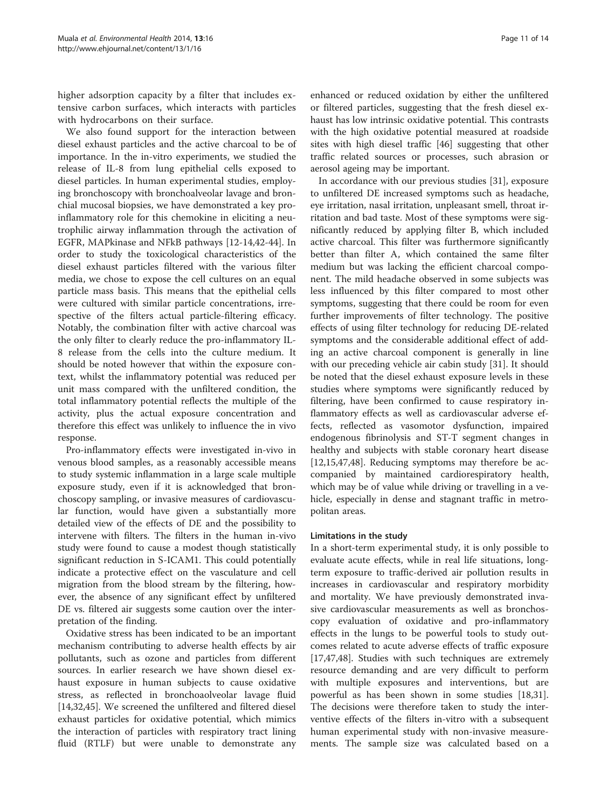higher adsorption capacity by a filter that includes extensive carbon surfaces, which interacts with particles with hydrocarbons on their surface.

We also found support for the interaction between diesel exhaust particles and the active charcoal to be of importance. In the in-vitro experiments, we studied the release of IL-8 from lung epithelial cells exposed to diesel particles. In human experimental studies, employing bronchoscopy with bronchoalveolar lavage and bronchial mucosal biopsies, we have demonstrated a key proinflammatory role for this chemokine in eliciting a neutrophilic airway inflammation through the activation of EGFR, MAPkinase and NFkB pathways [[12-14,42](#page-12-0)-[44](#page-13-0)]. In order to study the toxicological characteristics of the diesel exhaust particles filtered with the various filter media, we chose to expose the cell cultures on an equal particle mass basis. This means that the epithelial cells were cultured with similar particle concentrations, irrespective of the filters actual particle-filtering efficacy. Notably, the combination filter with active charcoal was the only filter to clearly reduce the pro-inflammatory IL-8 release from the cells into the culture medium. It should be noted however that within the exposure context, whilst the inflammatory potential was reduced per unit mass compared with the unfiltered condition, the total inflammatory potential reflects the multiple of the activity, plus the actual exposure concentration and therefore this effect was unlikely to influence the in vivo response.

Pro-inflammatory effects were investigated in-vivo in venous blood samples, as a reasonably accessible means to study systemic inflammation in a large scale multiple exposure study, even if it is acknowledged that bronchoscopy sampling, or invasive measures of cardiovascular function, would have given a substantially more detailed view of the effects of DE and the possibility to intervene with filters. The filters in the human in-vivo study were found to cause a modest though statistically significant reduction in S-ICAM1. This could potentially indicate a protective effect on the vasculature and cell migration from the blood stream by the filtering, however, the absence of any significant effect by unfiltered DE vs. filtered air suggests some caution over the interpretation of the finding.

Oxidative stress has been indicated to be an important mechanism contributing to adverse health effects by air pollutants, such as ozone and particles from different sources. In earlier research we have shown diesel exhaust exposure in human subjects to cause oxidative stress, as reflected in bronchoaolveolar lavage fluid [[14,32,](#page-12-0)[45\]](#page-13-0). We screened the unfiltered and filtered diesel exhaust particles for oxidative potential, which mimics the interaction of particles with respiratory tract lining fluid (RTLF) but were unable to demonstrate any

enhanced or reduced oxidation by either the unfiltered or filtered particles, suggesting that the fresh diesel exhaust has low intrinsic oxidative potential. This contrasts with the high oxidative potential measured at roadside sites with high diesel traffic [\[46](#page-13-0)] suggesting that other traffic related sources or processes, such abrasion or aerosol ageing may be important.

In accordance with our previous studies [[31\]](#page-12-0), exposure to unfiltered DE increased symptoms such as headache, eye irritation, nasal irritation, unpleasant smell, throat irritation and bad taste. Most of these symptoms were significantly reduced by applying filter B, which included active charcoal. This filter was furthermore significantly better than filter A, which contained the same filter medium but was lacking the efficient charcoal component. The mild headache observed in some subjects was less influenced by this filter compared to most other symptoms, suggesting that there could be room for even further improvements of filter technology. The positive effects of using filter technology for reducing DE-related symptoms and the considerable additional effect of adding an active charcoal component is generally in line with our preceding vehicle air cabin study [[31](#page-12-0)]. It should be noted that the diesel exhaust exposure levels in these studies where symptoms were significantly reduced by filtering, have been confirmed to cause respiratory inflammatory effects as well as cardiovascular adverse effects, reflected as vasomotor dysfunction, impaired endogenous fibrinolysis and ST-T segment changes in healthy and subjects with stable coronary heart disease [[12,15,](#page-12-0)[47,48\]](#page-13-0). Reducing symptoms may therefore be accompanied by maintained cardiorespiratory health, which may be of value while driving or travelling in a vehicle, especially in dense and stagnant traffic in metropolitan areas.

#### Limitations in the study

In a short-term experimental study, it is only possible to evaluate acute effects, while in real life situations, longterm exposure to traffic-derived air pollution results in increases in cardiovascular and respiratory morbidity and mortality. We have previously demonstrated invasive cardiovascular measurements as well as bronchoscopy evaluation of oxidative and pro-inflammatory effects in the lungs to be powerful tools to study outcomes related to acute adverse effects of traffic exposure [[17,](#page-12-0)[47,48\]](#page-13-0). Studies with such techniques are extremely resource demanding and are very difficult to perform with multiple exposures and interventions, but are powerful as has been shown in some studies [\[18,31](#page-12-0)]. The decisions were therefore taken to study the interventive effects of the filters in-vitro with a subsequent human experimental study with non-invasive measurements. The sample size was calculated based on a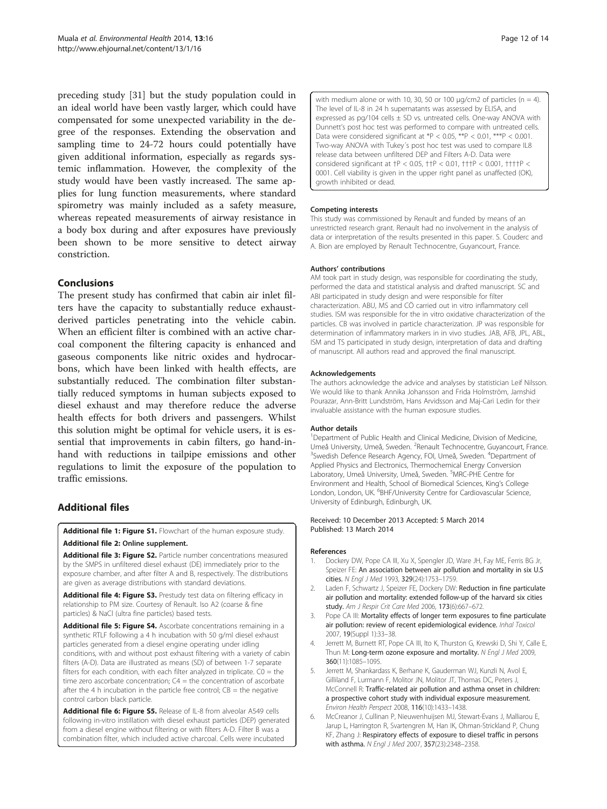<span id="page-11-0"></span>preceding study [[31\]](#page-12-0) but the study population could in an ideal world have been vastly larger, which could have compensated for some unexpected variability in the degree of the responses. Extending the observation and sampling time to 24-72 hours could potentially have given additional information, especially as regards systemic inflammation. However, the complexity of the study would have been vastly increased. The same applies for lung function measurements, where standard spirometry was mainly included as a safety measure, whereas repeated measurements of airway resistance in a body box during and after exposures have previously been shown to be more sensitive to detect airway constriction.

# Conclusions

The present study has confirmed that cabin air inlet filters have the capacity to substantially reduce exhaustderived particles penetrating into the vehicle cabin. When an efficient filter is combined with an active charcoal component the filtering capacity is enhanced and gaseous components like nitric oxides and hydrocarbons, which have been linked with health effects, are substantially reduced. The combination filter substantially reduced symptoms in human subjects exposed to diesel exhaust and may therefore reduce the adverse health effects for both drivers and passengers. Whilst this solution might be optimal for vehicle users, it is essential that improvements in cabin filters, go hand-inhand with reductions in tailpipe emissions and other regulations to limit the exposure of the population to traffic emissions.

# Additional files

[Additional file 1: Figure S1.](http://www.biomedcentral.com/content/supplementary/1476-069X-13-16-S1.pdf) Flowchart of the human exposure study. [Additional file 2:](http://www.biomedcentral.com/content/supplementary/1476-069X-13-16-S2.docx) Online supplement.

[Additional file 3: Figure S2.](http://www.biomedcentral.com/content/supplementary/1476-069X-13-16-S3.pdf) Particle number concentrations measured by the SMPS in unfiltered diesel exhaust (DE) immediately prior to the exposure chamber, and after filter A and B, respectively. The distributions are given as average distributions with standard deviations.

[Additional file 4: Figure S3.](http://www.biomedcentral.com/content/supplementary/1476-069X-13-16-S4.pdf) Prestudy test data on filtering efficacy in relationship to PM size. Courtesy of Renault. Iso A2 (coarse & fine particles) & NaCl (ultra fine particles) based tests.

[Additional file 5: Figure S4.](http://www.biomedcentral.com/content/supplementary/1476-069X-13-16-S5.pdf) Ascorbate concentrations remaining in a synthetic RTLF following a 4 h incubation with 50 g/ml diesel exhaust particles generated from a diesel engine operating under idling conditions, with and without post exhaust filtering with a variety of cabin filters (A-D). Data are illustrated as means (SD) of between 1-7 separate filters for each condition, with each filter analyzed in triplicate.  $CO =$  the time zero ascorbate concentration;  $C4 =$  the concentration of ascorbate after the 4 h incubation in the particle free control;  $CB =$  the negative control carbon black particle.

[Additional file 6: Figure S5.](http://www.biomedcentral.com/content/supplementary/1476-069X-13-16-S6.pdf) Release of IL-8 from alveolar A549 cells following in-vitro instillation with diesel exhaust particles (DEP) generated from a diesel engine without filtering or with filters A-D. Filter B was a combination filter, which included active charcoal. Cells were incubated

with medium alone or with 10, 30, 50 or 100  $\mu$ g/cm2 of particles (n = 4). The level of IL-8 in 24 h supernatants was assessed by ELISA, and expressed as  $pq/104$  cells  $\pm$  SD vs. untreated cells. One-way ANOVA with Dunnett's post hoc test was performed to compare with untreated cells. Data were considered significant at \*P < 0.05, \*\*P < 0.01, \*\*\*P < 0.001. Two-way ANOVA with Tukey´s post hoc test was used to compare IL8 release data between unfiltered DEP and Filters A-D. Data were considered significant at †P < 0.05, ††P < 0.01, †††P < 0.001, ††††P < 0001. Cell viability is given in the upper right panel as unaffected (OK), growth inhibited or dead.

#### Competing interests

This study was commissioned by Renault and funded by means of an unrestricted research grant. Renault had no involvement in the analysis of data or interpretation of the results presented in this paper. S. Couderc and A. Bion are employed by Renault Technocentre, Guyancourt, France.

#### Authors' contributions

AM took part in study design, was responsible for coordinating the study, performed the data and statistical analysis and drafted manuscript. SC and ABI participated in study design and were responsible for filter characterization. ABU, MS and CÖ carried out in vitro inflammatory cell studies. ISM was responsible for the in vitro oxidative characterization of the particles. CB was involved in particle characterization. JP was responsible for determination of inflammatory markers in in vivo studies. JAB, AFB, JPL, ABL, ISM and TS participated in study design, interpretation of data and drafting of manuscript. All authors read and approved the final manuscript.

#### Acknowledgements

The authors acknowledge the advice and analyses by statistician Leif Nilsson. We would like to thank Annika Johansson and Frida Holmström, Jamshid Pourazar, Ann-Britt Lundström, Hans Arvidsson and Maj-Cari Ledin for their invaluable assistance with the human exposure studies.

#### Author details

<sup>1</sup>Department of Public Health and Clinical Medicine, Division of Medicine Umeå University, Umeå, Sweden. <sup>2</sup> Renault Technocentre, Guyancourt, France<br><sup>3</sup> Swedish Defence Besearch Agency, FOL Umeå, Sweden, <sup>4</sup> Department of Swedish Defence Research Agency, FOI, Umeå, Sweden. <sup>4</sup>Department of Applied Physics and Electronics, Thermochemical Energy Conversion Laboratory, Umeå University, Umeå, Sweden. <sup>5</sup>MRC-PHE Centre for Environment and Health, School of Biomedical Sciences, King's College London, London, UK. <sup>6</sup>BHF/University Centre for Cardiovascular Science University of Edinburgh, Edinburgh, UK.

#### Received: 10 December 2013 Accepted: 5 March 2014 Published: 13 March 2014

#### References

- 1. Dockery DW, Pope CA III, Xu X, Spengler JD, Ware JH, Fay ME, Ferris BG Jr, Speizer FE: An association between air pollution and mortality in six U.S cities. N Engl J Med 1993, 329(24):1753–1759.
- 2. Laden F, Schwartz J, Speizer FE, Dockery DW: Reduction in fine particulate air pollution and mortality: extended follow-up of the harvard six cities study. Am J Respir Crit Care Med 2006, 173(6):667–672.
- 3. Pope CA III: Mortality effects of longer term exposures to fine particulate air pollution: review of recent epidemiological evidence. Inhal Toxicol 2007, 19(Suppl 1):33–38.
- 4. Jerrett M, Burnett RT, Pope CA III, Ito K, Thurston G, Krewski D, Shi Y, Calle E, Thun M: Long-term ozone exposure and mortality. N Engl J Med 2009, 360(11):1085–1095.
- 5. Jerrett M, Shankardass K, Berhane K, Gauderman WJ, Kunzli N, Avol E, Gilliland F, Lurmann F, Molitor JN, Molitor JT, Thomas DC, Peters J, McConnell R: Traffic-related air pollution and asthma onset in children: a prospective cohort study with individual exposure measurement. Environ Health Perspect 2008, 116(10):1433–1438.
- 6. McCreanor J, Cullinan P, Nieuwenhuijsen MJ, Stewart-Evans J, Malliarou E, Jarup L, Harrington R, Svartengren M, Han IK, Ohman-Strickland P, Chung KF, Zhang J: Respiratory effects of exposure to diesel traffic in persons with asthma. N Engl J Med 2007, 357(23):2348–2358.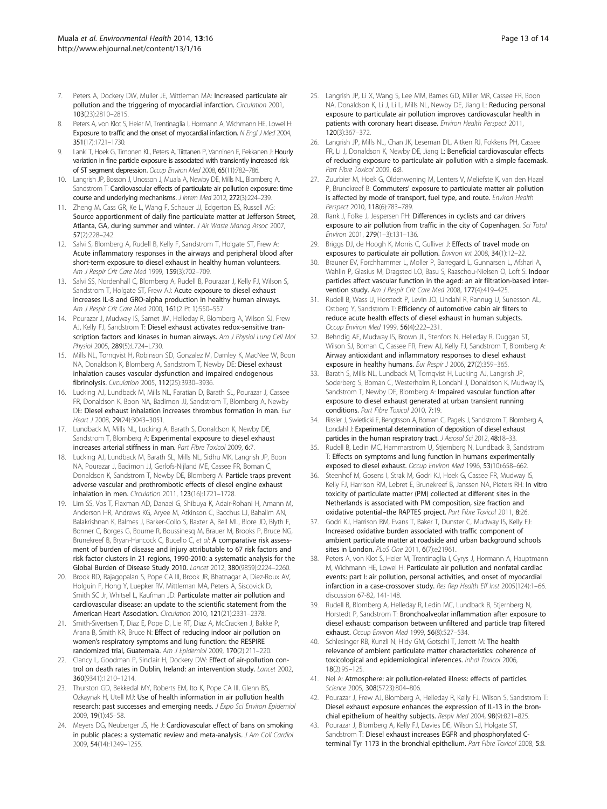- <span id="page-12-0"></span>7. Peters A, Dockery DW, Muller JE, Mittleman MA: Increased particulate air pollution and the triggering of myocardial infarction. Circulation 2001, 103(23):2810–2815.
- Peters A, von Klot S, Heier M, Trentinaglia I, Hormann A, Wichmann HE, Lowel H: Exposure to traffic and the onset of myocardial infarction. N Engl J Med 2004, 351(17):1721–1730.
- 9. Lanki T, Hoek G, Timonen KL, Peters A, Tiittanen P, Vanninen E, Pekkanen J: Hourly variation in fine particle exposure is associated with transiently increased risk of ST segment depression. Occup Environ Med 2008, 65(11):782–786.
- 10. Langrish JP, Bosson J, Unosson J, Muala A, Newby DE, Mills NL, Blomberg A, Sandstrom T: Cardiovascular effects of particulate air pollution exposure: time course and underlying mechanisms. J Intern Med 2012, 272(3):224–239.
- 11. Zheng M, Cass GR, Ke L, Wang F, Schauer JJ, Edgerton ES, Russell AG: Source apportionment of daily fine particulate matter at Jefferson Street, Atlanta, GA, during summer and winter. J Air Waste Manag Assoc 2007, 57(2):228–242.
- 12. Salvi S, Blomberg A, Rudell B, Kelly F, Sandstrom T, Holgate ST, Frew A: Acute inflammatory responses in the airways and peripheral blood after short-term exposure to diesel exhaust in healthy human volunteers. Am J Respir Crit Care Med 1999, 159(3):702–709.
- 13. Salvi SS, Nordenhall C, Blomberg A, Rudell B, Pourazar J, Kelly FJ, Wilson S, Sandstrom T, Holgate ST, Frew AJ: Acute exposure to diesel exhaust increases IL-8 and GRO-alpha production in healthy human airways. Am J Respir Crit Care Med 2000, 161(2 Pt 1):550–557.
- 14. Pourazar J, Mudway IS, Samet JM, Helleday R, Blomberg A, Wilson SJ, Frew AJ, Kelly FJ, Sandstrom T: Diesel exhaust activates redox-sensitive transcription factors and kinases in human airways. Am J Physiol Lung Cell Mol Physiol 2005, 289(5):L724-L730.
- 15. Mills NL, Tornqvist H, Robinson SD, Gonzalez M, Darnley K, MacNee W, Boon NA, Donaldson K, Blomberg A, Sandstrom T, Newby DE: Diesel exhaust inhalation causes vascular dysfunction and impaired endogenous fibrinolysis. Circulation 2005, 112(25):3930–3936.
- 16. Lucking AJ, Lundback M, Mills NL, Faratian D, Barath SL, Pourazar J, Cassee FR, Donaldson K, Boon NA, Badimon JJ, Sandstrom T, Blomberg A, Newby DE: Diesel exhaust inhalation increases thrombus formation in man. Eur Heart J 2008, 29(24):3043–3051.
- 17. Lundback M, Mills NL, Lucking A, Barath S, Donaldson K, Newby DE, Sandstrom T, Blomberg A: Experimental exposure to diesel exhaust increases arterial stiffness in man. Part Fibre Toxicol 2009, 6:7.
- 18. Lucking AJ, Lundback M, Barath SL, Mills NL, Sidhu MK, Langrish JP, Boon NA, Pourazar J, Badimon JJ, Gerlofs-Nijland ME, Cassee FR, Boman C, Donaldson K, Sandstrom T, Newby DE, Blomberg A: Particle traps prevent adverse vascular and prothrombotic effects of diesel engine exhaust inhalation in men. Circulation 2011, 123(16):1721–1728.
- 19. Lim SS, Vos T, Flaxman AD, Danaei G, Shibuya K, Adair-Rohani H, Amann M, Anderson HR, Andrews KG, Aryee M, Atkinson C, Bacchus LJ, Bahalim AN, Balakrishnan K, Balmes J, Barker-Collo S, Baxter A, Bell ML, Blore JD, Blyth F, Bonner C, Borges G, Bourne R, Boussinesq M, Brauer M, Brooks P, Bruce NG, Brunekreef B, Bryan-Hancock C, Bucello C, et al: A comparative risk assessment of burden of disease and injury attributable to 67 risk factors and risk factor clusters in 21 regions, 1990-2010: a systematic analysis for the Global Burden of Disease Study 2010. Lancet 2012, 380(9859):2224–2260.
- 20. Brook RD, Rajagopalan S, Pope CA III, Brook JR, Bhatnagar A, Diez-Roux AV, Holguin F, Hong Y, Luepker RV, Mittleman MA, Peters A, Siscovick D, Smith SC Jr, Whitsel L, Kaufman JD: Particulate matter air pollution and cardiovascular disease: an update to the scientific statement from the American Heart Association. Circulation 2010, 121(21):2331–2378.
- 21. Smith-Sivertsen T, Diaz E, Pope D, Lie RT, Diaz A, McCracken J, Bakke P, Arana B, Smith KR, Bruce N: Effect of reducing indoor air pollution on women's respiratory symptoms and lung function: the RESPIRE randomized trial, Guatemala. Am J Epidemiol 2009, 170(2):211–220.
- 22. Clancy L, Goodman P, Sinclair H, Dockery DW: Effect of air-pollution control on death rates in Dublin, Ireland: an intervention study. Lancet 2002, 360(9341):1210–1214.
- 23. Thurston GD, Bekkedal MY, Roberts EM, Ito K, Pope CA III, Glenn BS, Ozkaynak H, Utell MJ: Use of health information in air pollution health research: past successes and emerging needs. J Expo Sci Environ Epidemiol 2009, 19(1):45–58.
- 24. Meyers DG, Neuberger JS, He J: Cardiovascular effect of bans on smoking in public places: a systematic review and meta-analysis. J Am Coll Cardiol 2009, 54(14):1249–1255.
- 25. Langrish JP, Li X, Wang S, Lee MM, Barnes GD, Miller MR, Cassee FR, Boon NA, Donaldson K, Li J, Li L, Mills NL, Newby DE, Jiang L: Reducing personal exposure to particulate air pollution improves cardiovascular health in patients with coronary heart disease. Environ Health Perspect 2011, 120(3):367–372.
- 26. Langrish JP, Mills NL, Chan JK, Leseman DL, Aitken RJ, Fokkens PH, Cassee FR, Li J, Donaldson K, Newby DE, Jiang L: Beneficial cardiovascular effects of reducing exposure to particulate air pollution with a simple facemask. Part Fibre Toxicol 2009, 6:8.
- 27. Zuurbier M, Hoek G, Oldenwening M, Lenters V, Meliefste K, van den Hazel P, Brunekreef B: Commuters' exposure to particulate matter air pollution is affected by mode of transport, fuel type, and route. Environ Health Perspect 2010, 118(6):783–789.
- 28. Rank J, Folke J, Jespersen PH: Differences in cyclists and car drivers exposure to air pollution from traffic in the city of Copenhagen. Sci Total Environ 2001, 279(1–3):131–136.
- 29. Briggs DJ, de Hoogh K, Morris C, Gulliver J: Effects of travel mode on exposures to particulate air pollution. Environ Int 2008, 34(1):12–22.
- 30. Brauner EV, Forchhammer L, Moller P, Barregard L, Gunnarsen L, Afshari A, Wahlin P, Glasius M, Dragsted LO, Basu S, Raaschou-Nielsen O, Loft S: Indoor particles affect vascular function in the aged: an air filtration-based intervention study. Am J Respir Crit Care Med 2008, 177(4):419-425.
- 31. Rudell B, Wass U, Horstedt P, Levin JO, Lindahl R, Rannug U, Sunesson AL, Ostberg Y, Sandstrom T: Efficiency of automotive cabin air filters to reduce acute health effects of diesel exhaust in human subjects. Occup Environ Med 1999, 56(4):222–231.
- 32. Behndig AF, Mudway IS, Brown JL, Stenfors N, Helleday R, Duggan ST, Wilson SJ, Boman C, Cassee FR, Frew AJ, Kelly FJ, Sandstrom T, Blomberg A: Airway antioxidant and inflammatory responses to diesel exhaust exposure in healthy humans. Eur Respir J 2006, 27(2):359-365.
- 33. Barath S, Mills NL, Lundback M, Tornqvist H, Lucking AJ, Langrish JP, Soderberg S, Boman C, Westerholm R, Londahl J, Donaldson K, Mudway IS, Sandstrom T, Newby DE, Blomberg A: Impaired vascular function after exposure to diesel exhaust generated at urban transient running conditions. Part Fibre Toxicol 2010, 7:19.
- 34. Rissler J, Swietlicki E, Bengtsson A, Boman C, Pagels J, Sandstrom T, Blomberg A, Londahl J: Experimental determination of deposition of diesel exhaust particles in the human respiratory tract. J Aerosol Sci 2012, 48:18-33.
- 35. Rudell B, Ledin MC, Hammarstrom U, Stjernberg N, Lundback B, Sandstrom T: Effects on symptoms and lung function in humans experimentally exposed to diesel exhaust. Occup Environ Med 1996, 53(10):658–662.
- 36. Steenhof M, Gosens I, Strak M, Godri KJ, Hoek G, Cassee FR, Mudway IS, Kelly FJ, Harrison RM, Lebret E, Brunekreef B, Janssen NA, Pieters RH: In vitro toxicity of particulate matter (PM) collected at different sites in the Netherlands is associated with PM composition, size fraction and oxidative potential–the RAPTES project. Part Fibre Toxicol 2011, 8:26.
- 37. Godri KJ, Harrison RM, Evans T, Baker T, Dunster C, Mudway IS, Kelly FJ: Increased oxidative burden associated with traffic component of ambient particulate matter at roadside and urban background schools sites in London. PLoS One 2011, 6(7):e21961.
- 38. Peters A, von Klot S, Heier M, Trentinaglia I, Cyrys J, Hormann A, Hauptmann M, Wichmann HE, Lowel H: Particulate air pollution and nonfatal cardiac events: part I: air pollution, personal activities, and onset of myocardial infarction in a case-crossover study. Res Rep Health Eff Inst 2005(124):1–66. discussion 67-82, 141-148.
- 39. Rudell B, Blomberg A, Helleday R, Ledin MC, Lundback B, Stjernberg N, Horstedt P, Sandstrom T: Bronchoalveolar inflammation after exposure to diesel exhaust: comparison between unfiltered and particle trap filtered exhaust. Occup Environ Med 1999, 56(8):527–534.
- 40. Schlesinger RB, Kunzli N, Hidy GM, Gotschi T, Jerrett M: The health relevance of ambient particulate matter characteristics: coherence of toxicological and epidemiological inferences. Inhal Toxicol 2006, 18(2):95–125.
- 41. Nel A: Atmosphere: air pollution-related illness: effects of particles. Science 2005, 308(5723):804–806.
- 42. Pourazar J, Frew AJ, Blomberg A, Helleday R, Kelly FJ, Wilson S, Sandstrom T: Diesel exhaust exposure enhances the expression of IL-13 in the bronchial epithelium of healthy subjects. Respir Med 2004, 98(9):821–825.
- 43. Pourazar J, Blomberg A, Kelly FJ, Davies DE, Wilson SJ, Holgate ST, Sandstrom T: Diesel exhaust increases EGFR and phosphorylated Cterminal Tyr 1173 in the bronchial epithelium. Part Fibre Toxicol 2008, 5:8.